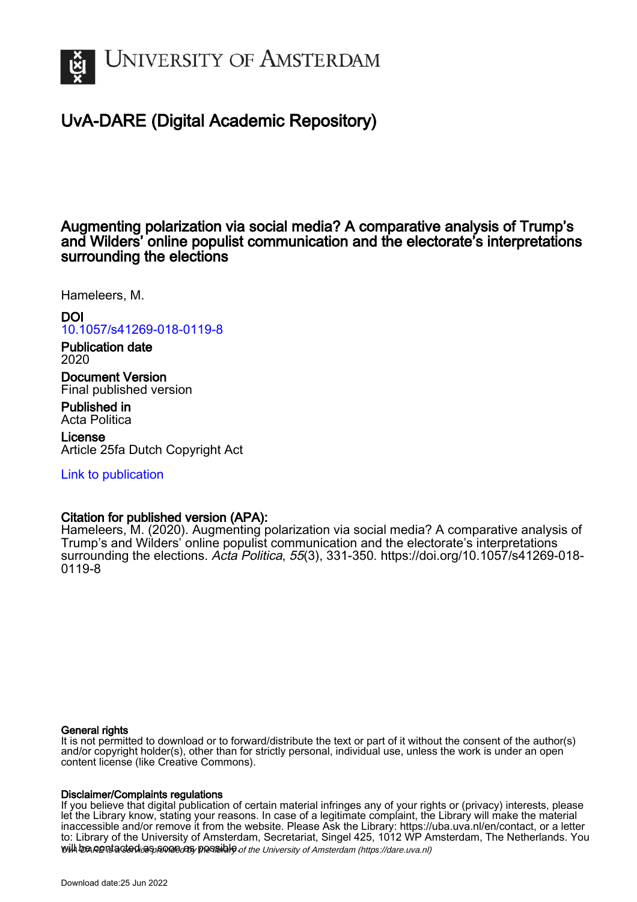

# UvA-DARE (Digital Academic Repository)

Augmenting polarization via social media? A comparative analysis of Trump's and Wilders' online populist communication and the electorate's interpretations surrounding the elections

Hameleers, M.

DOI [10.1057/s41269-018-0119-8](https://doi.org/10.1057/s41269-018-0119-8)

Publication date 2020

Document Version Final published version

Published in Acta Politica

License Article 25fa Dutch Copyright Act

[Link to publication](https://dare.uva.nl/personal/pure/en/publications/augmenting-polarization-via-social-media-a-comparative-analysis-of-trumps-and-wilders-online-populist-communication-and-the-electorates-interpretations-surrounding-the-elections(415974cc-4106-4982-803b-c9f0c28ecb01).html)

## Citation for published version (APA):

Hameleers, M. (2020). Augmenting polarization via social media? A comparative analysis of Trump's and Wilders' online populist communication and the electorate's interpretations surrounding the elections. Acta Politica, 55(3), 331-350. [https://doi.org/10.1057/s41269-018-](https://doi.org/10.1057/s41269-018-0119-8) [0119-8](https://doi.org/10.1057/s41269-018-0119-8)

## General rights

It is not permitted to download or to forward/distribute the text or part of it without the consent of the author(s) and/or copyright holder(s), other than for strictly personal, individual use, unless the work is under an open content license (like Creative Commons).

## Disclaimer/Complaints regulations

will be contacted as sontacty pessible of the University of Amsterdam (https://dare.uva.nl) If you believe that digital publication of certain material infringes any of your rights or (privacy) interests, please let the Library know, stating your reasons. In case of a legitimate complaint, the Library will make the material inaccessible and/or remove it from the website. Please Ask the Library: https://uba.uva.nl/en/contact, or a letter to: Library of the University of Amsterdam, Secretariat, Singel 425, 1012 WP Amsterdam, The Netherlands. You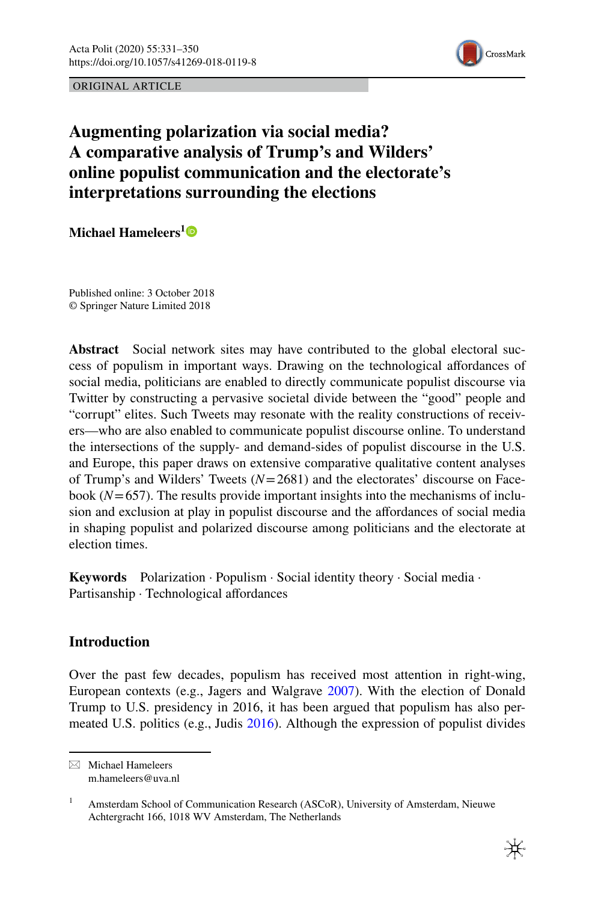ORIGINAL ARTICLE



## **Augmenting polarization via social media? A comparative analysis of Trump's and Wilders' online populist communication and the electorate's interpretations surrounding the elections**

**Michael Hameleers[1](http://orcid.org/0000-0002-8038-5005)**

Published online: 3 October 2018 © Springer Nature Limited 2018

**Abstract** Social network sites may have contributed to the global electoral success of populism in important ways. Drawing on the technological afordances of social media, politicians are enabled to directly communicate populist discourse via Twitter by constructing a pervasive societal divide between the "good" people and "corrupt" elites. Such Tweets may resonate with the reality constructions of receivers—who are also enabled to communicate populist discourse online. To understand the intersections of the supply- and demand-sides of populist discourse in the U.S. and Europe, this paper draws on extensive comparative qualitative content analyses of Trump's and Wilders' Tweets (*N*=2681) and the electorates' discourse on Facebook  $(N=657)$ . The results provide important insights into the mechanisms of inclusion and exclusion at play in populist discourse and the affordances of social media in shaping populist and polarized discourse among politicians and the electorate at election times.

**Keywords** Polarization · Populism · Social identity theory · Social media · Partisanship · Technological affordances

## **Introduction**

Over the past few decades, populism has received most attention in right-wing, European contexts (e.g., Jagers and Walgrave [2007](#page-20-0)). With the election of Donald Trump to U.S. presidency in 2016, it has been argued that populism has also permeated U.S. politics (e.g., Judis [2016](#page-20-1)). Although the expression of populist divides

 $\boxtimes$  Michael Hameleers m.hameleers@uva.nl

<sup>&</sup>lt;sup>1</sup> Amsterdam School of Communication Research (ASCoR), University of Amsterdam, Nieuwe Achtergracht 166, 1018 WV Amsterdam, The Netherlands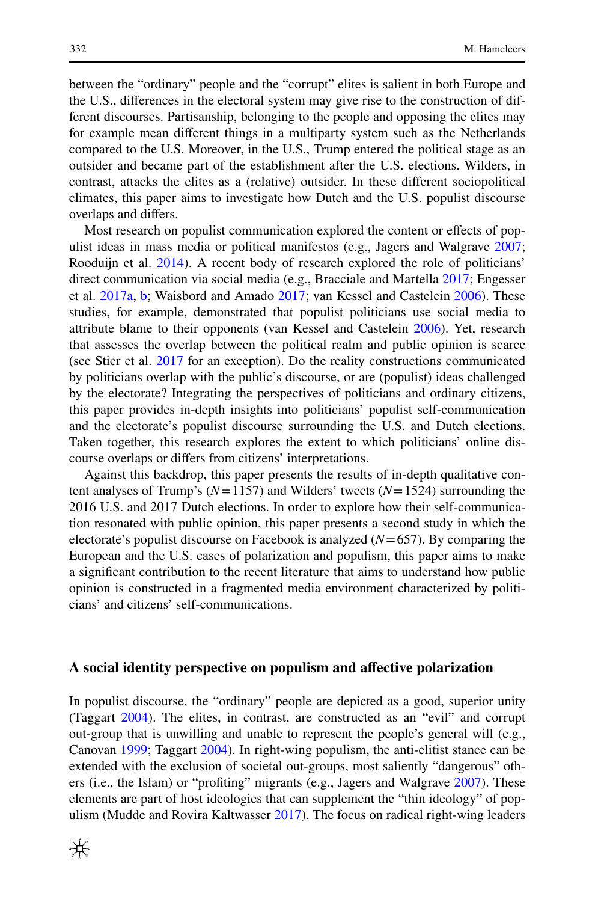between the "ordinary" people and the "corrupt" elites is salient in both Europe and the U.S., diferences in the electoral system may give rise to the construction of different discourses. Partisanship, belonging to the people and opposing the elites may for example mean diferent things in a multiparty system such as the Netherlands compared to the U.S. Moreover, in the U.S., Trump entered the political stage as an outsider and became part of the establishment after the U.S. elections. Wilders, in contrast, attacks the elites as a (relative) outsider. In these diferent sociopolitical climates, this paper aims to investigate how Dutch and the U.S. populist discourse overlaps and difers.

Most research on populist communication explored the content or efects of populist ideas in mass media or political manifestos (e.g., Jagers and Walgrave [2007;](#page-20-0) Rooduijn et al. [2014\)](#page-20-2). A recent body of research explored the role of politicians' direct communication via social media (e.g., Bracciale and Martella [2017;](#page-19-0) Engesser et al. [2017a](#page-20-3), [b;](#page-20-4) Waisbord and Amado [2017;](#page-20-5) van Kessel and Castelein [2006\)](#page-20-6). These studies, for example, demonstrated that populist politicians use social media to attribute blame to their opponents (van Kessel and Castelein [2006\)](#page-20-6). Yet, research that assesses the overlap between the political realm and public opinion is scarce (see Stier et al. [2017](#page-20-7) for an exception). Do the reality constructions communicated by politicians overlap with the public's discourse, or are (populist) ideas challenged by the electorate? Integrating the perspectives of politicians and ordinary citizens, this paper provides in-depth insights into politicians' populist self-communication and the electorate's populist discourse surrounding the U.S. and Dutch elections. Taken together, this research explores the extent to which politicians' online discourse overlaps or difers from citizens' interpretations.

Against this backdrop, this paper presents the results of in-depth qualitative content analyses of Trump's (*N*=1157) and Wilders' tweets (*N*=1524) surrounding the 2016 U.S. and 2017 Dutch elections. In order to explore how their self-communication resonated with public opinion, this paper presents a second study in which the electorate's populist discourse on Facebook is analyzed (*N*=657). By comparing the European and the U.S. cases of polarization and populism, this paper aims to make a signifcant contribution to the recent literature that aims to understand how public opinion is constructed in a fragmented media environment characterized by politicians' and citizens' self-communications.

#### **A social identity perspective on populism and afective polarization**

In populist discourse, the "ordinary" people are depicted as a good, superior unity (Taggart [2004\)](#page-20-8). The elites, in contrast, are constructed as an "evil" and corrupt out-group that is unwilling and unable to represent the people's general will (e.g., Canovan [1999;](#page-19-1) Taggart [2004](#page-20-8)). In right-wing populism, the anti-elitist stance can be extended with the exclusion of societal out-groups, most saliently "dangerous" others (i.e., the Islam) or "profting" migrants (e.g., Jagers and Walgrave [2007\)](#page-20-0). These elements are part of host ideologies that can supplement the "thin ideology" of populism (Mudde and Rovira Kaltwasser [2017\)](#page-20-9). The focus on radical right-wing leaders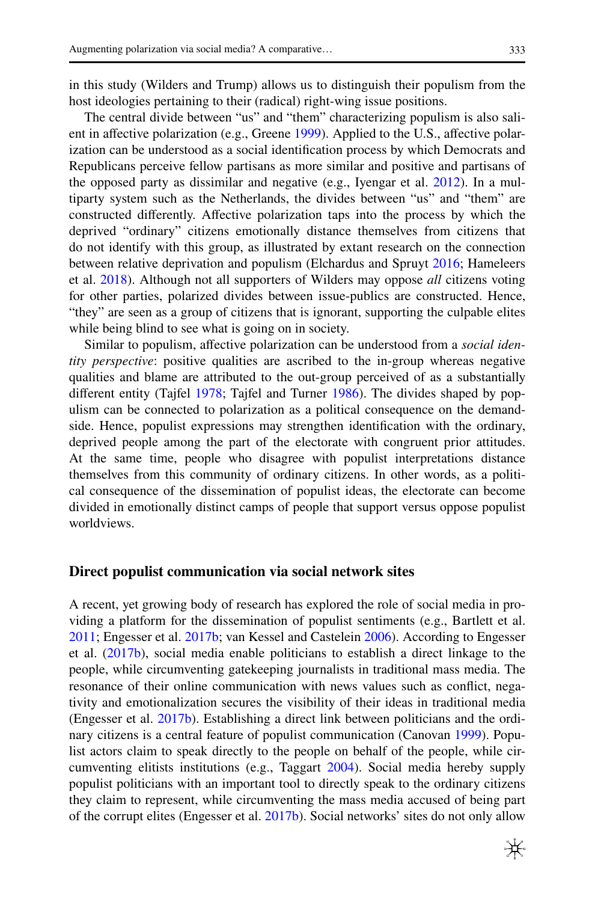in this study (Wilders and Trump) allows us to distinguish their populism from the host ideologies pertaining to their (radical) right-wing issue positions.

The central divide between "us" and "them" characterizing populism is also sali-ent in affective polarization (e.g., Greene [1999](#page-20-10)). Applied to the U.S., affective polarization can be understood as a social identifcation process by which Democrats and Republicans perceive fellow partisans as more similar and positive and partisans of the opposed party as dissimilar and negative (e.g., Iyengar et al. [2012](#page-20-11)). In a multiparty system such as the Netherlands, the divides between "us" and "them" are constructed diferently. Afective polarization taps into the process by which the deprived "ordinary" citizens emotionally distance themselves from citizens that do not identify with this group, as illustrated by extant research on the connection between relative deprivation and populism (Elchardus and Spruyt [2016;](#page-19-2) Hameleers et al. [2018](#page-20-12)). Although not all supporters of Wilders may oppose *all* citizens voting for other parties, polarized divides between issue-publics are constructed. Hence, "they" are seen as a group of citizens that is ignorant, supporting the culpable elites while being blind to see what is going on in society.

Similar to populism, afective polarization can be understood from a *social iden‑ tity perspective*: positive qualities are ascribed to the in-group whereas negative qualities and blame are attributed to the out-group perceived of as a substantially diferent entity (Tajfel [1978](#page-20-13); Tajfel and Turner [1986](#page-20-14)). The divides shaped by populism can be connected to polarization as a political consequence on the demandside. Hence, populist expressions may strengthen identifcation with the ordinary, deprived people among the part of the electorate with congruent prior attitudes. At the same time, people who disagree with populist interpretations distance themselves from this community of ordinary citizens. In other words, as a political consequence of the dissemination of populist ideas, the electorate can become divided in emotionally distinct camps of people that support versus oppose populist worldviews.

#### **Direct populist communication via social network sites**

A recent, yet growing body of research has explored the role of social media in providing a platform for the dissemination of populist sentiments (e.g., Bartlett et al. [2011](#page-19-3); Engesser et al. [2017b;](#page-20-4) van Kessel and Castelein [2006](#page-20-6)). According to Engesser et al. [\(2017b](#page-20-4)), social media enable politicians to establish a direct linkage to the people, while circumventing gatekeeping journalists in traditional mass media. The resonance of their online communication with news values such as confict, negativity and emotionalization secures the visibility of their ideas in traditional media (Engesser et al. [2017b](#page-20-4)). Establishing a direct link between politicians and the ordinary citizens is a central feature of populist communication (Canovan [1999\)](#page-19-1). Populist actors claim to speak directly to the people on behalf of the people, while circumventing elitists institutions (e.g., Taggart [2004\)](#page-20-8). Social media hereby supply populist politicians with an important tool to directly speak to the ordinary citizens they claim to represent, while circumventing the mass media accused of being part of the corrupt elites (Engesser et al. [2017b\)](#page-20-4). Social networks' sites do not only allow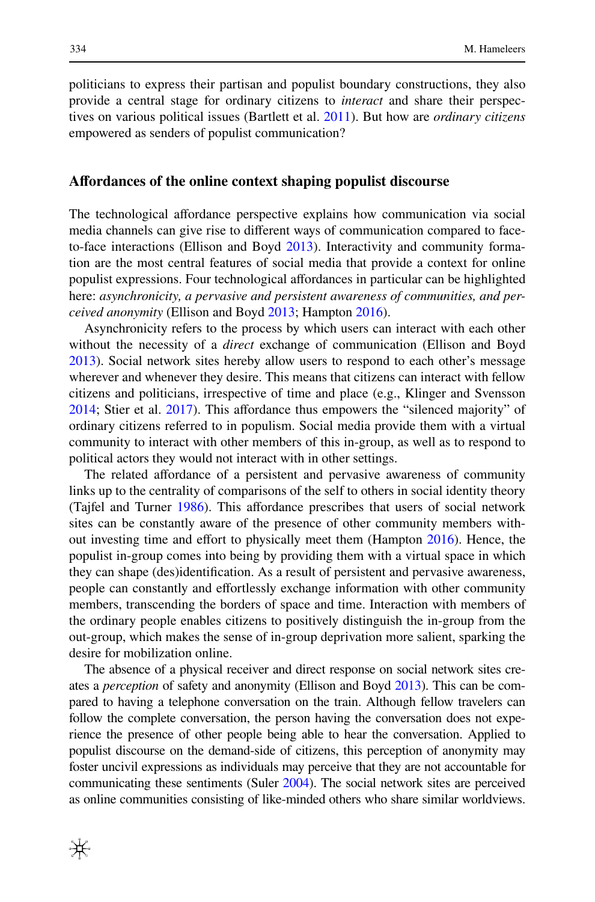politicians to express their partisan and populist boundary constructions, they also provide a central stage for ordinary citizens to *interact* and share their perspectives on various political issues (Bartlett et al. [2011](#page-19-3)). But how are *ordinary citizens* empowered as senders of populist communication?

#### **Afordances of the online context shaping populist discourse**

The technological affordance perspective explains how communication via social media channels can give rise to diferent ways of communication compared to faceto-face interactions (Ellison and Boyd [2013\)](#page-20-15). Interactivity and community formation are the most central features of social media that provide a context for online populist expressions. Four technological afordances in particular can be highlighted here: *asynchronicity, a pervasive and persistent awareness of communities, and per‑ ceived anonymity* (Ellison and Boyd [2013](#page-20-15); Hampton [2016\)](#page-20-16).

Asynchronicity refers to the process by which users can interact with each other without the necessity of a *direct* exchange of communication (Ellison and Boyd [2013](#page-20-15)). Social network sites hereby allow users to respond to each other's message wherever and whenever they desire. This means that citizens can interact with fellow citizens and politicians, irrespective of time and place (e.g., Klinger and Svensson [2014](#page-20-17); Stier et al. [2017\)](#page-20-7). This afordance thus empowers the "silenced majority" of ordinary citizens referred to in populism. Social media provide them with a virtual community to interact with other members of this in-group, as well as to respond to political actors they would not interact with in other settings.

The related afordance of a persistent and pervasive awareness of community links up to the centrality of comparisons of the self to others in social identity theory (Tajfel and Turner [1986\)](#page-20-14). This afordance prescribes that users of social network sites can be constantly aware of the presence of other community members with-out investing time and effort to physically meet them (Hampton [2016\)](#page-20-16). Hence, the populist in-group comes into being by providing them with a virtual space in which they can shape (des)identifcation. As a result of persistent and pervasive awareness, people can constantly and efortlessly exchange information with other community members, transcending the borders of space and time. Interaction with members of the ordinary people enables citizens to positively distinguish the in-group from the out-group, which makes the sense of in-group deprivation more salient, sparking the desire for mobilization online.

The absence of a physical receiver and direct response on social network sites creates a *perception* of safety and anonymity (Ellison and Boyd [2013](#page-20-15)). This can be compared to having a telephone conversation on the train. Although fellow travelers can follow the complete conversation, the person having the conversation does not experience the presence of other people being able to hear the conversation. Applied to populist discourse on the demand-side of citizens, this perception of anonymity may foster uncivil expressions as individuals may perceive that they are not accountable for communicating these sentiments (Suler [2004](#page-20-18)). The social network sites are perceived as online communities consisting of like-minded others who share similar worldviews.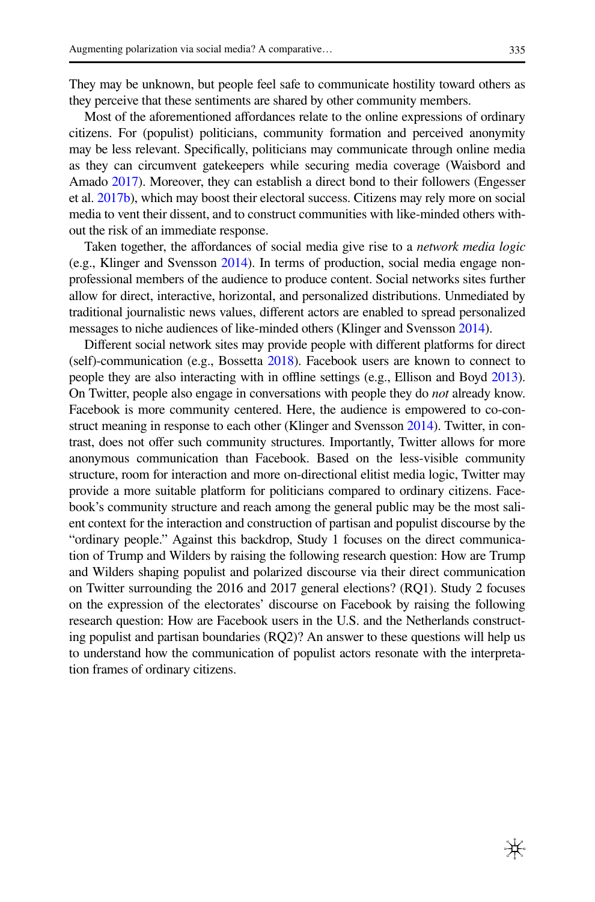They may be unknown, but people feel safe to communicate hostility toward others as they perceive that these sentiments are shared by other community members.

Most of the aforementioned afordances relate to the online expressions of ordinary citizens. For (populist) politicians, community formation and perceived anonymity may be less relevant. Specifcally, politicians may communicate through online media as they can circumvent gatekeepers while securing media coverage (Waisbord and Amado [2017](#page-20-5)). Moreover, they can establish a direct bond to their followers (Engesser et al. [2017b](#page-20-4)), which may boost their electoral success. Citizens may rely more on social media to vent their dissent, and to construct communities with like-minded others without the risk of an immediate response.

Taken together, the afordances of social media give rise to a *network media logic* (e.g., Klinger and Svensson [2014\)](#page-20-17). In terms of production, social media engage nonprofessional members of the audience to produce content. Social networks sites further allow for direct, interactive, horizontal, and personalized distributions. Unmediated by traditional journalistic news values, diferent actors are enabled to spread personalized messages to niche audiences of like-minded others (Klinger and Svensson [2014](#page-20-17)).

Diferent social network sites may provide people with diferent platforms for direct (self)-communication (e.g., Bossetta [2018](#page-19-4)). Facebook users are known to connect to people they are also interacting with in ofine settings (e.g., Ellison and Boyd [2013\)](#page-20-15). On Twitter, people also engage in conversations with people they do *not* already know. Facebook is more community centered. Here, the audience is empowered to co-construct meaning in response to each other (Klinger and Svensson [2014](#page-20-17)). Twitter, in contrast, does not ofer such community structures. Importantly, Twitter allows for more anonymous communication than Facebook. Based on the less-visible community structure, room for interaction and more on-directional elitist media logic, Twitter may provide a more suitable platform for politicians compared to ordinary citizens. Facebook's community structure and reach among the general public may be the most salient context for the interaction and construction of partisan and populist discourse by the "ordinary people." Against this backdrop, Study 1 focuses on the direct communication of Trump and Wilders by raising the following research question: How are Trump and Wilders shaping populist and polarized discourse via their direct communication on Twitter surrounding the 2016 and 2017 general elections? (RQ1). Study 2 focuses on the expression of the electorates' discourse on Facebook by raising the following research question: How are Facebook users in the U.S. and the Netherlands constructing populist and partisan boundaries (RQ2)? An answer to these questions will help us to understand how the communication of populist actors resonate with the interpretation frames of ordinary citizens.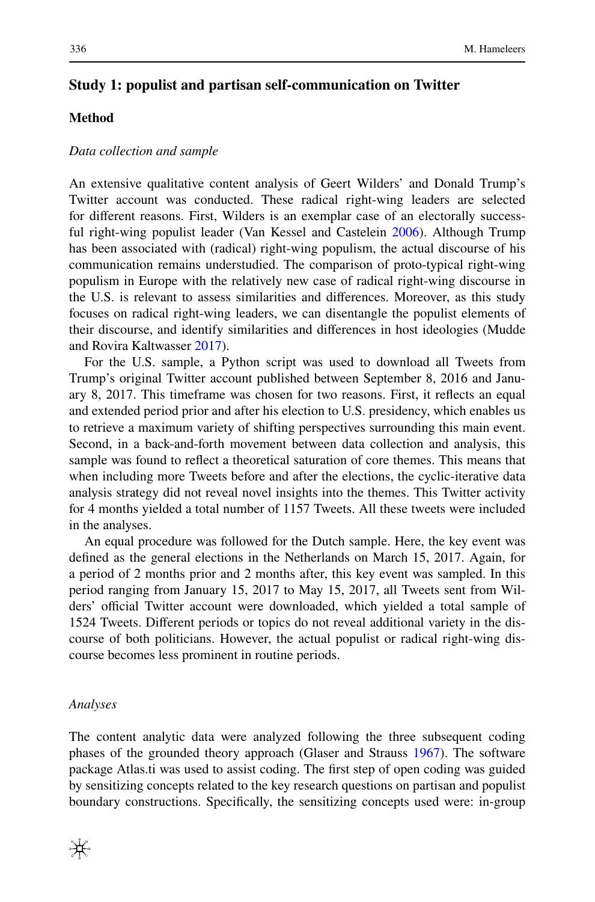#### **Study 1: populist and partisan self‑communication on Twitter**

#### **Method**

#### *Data collection and sample*

An extensive qualitative content analysis of Geert Wilders' and Donald Trump's Twitter account was conducted. These radical right-wing leaders are selected for diferent reasons. First, Wilders is an exemplar case of an electorally successful right-wing populist leader (Van Kessel and Castelein [2006\)](#page-20-6). Although Trump has been associated with (radical) right-wing populism, the actual discourse of his communication remains understudied. The comparison of proto-typical right-wing populism in Europe with the relatively new case of radical right-wing discourse in the U.S. is relevant to assess similarities and diferences. Moreover, as this study focuses on radical right-wing leaders, we can disentangle the populist elements of their discourse, and identify similarities and diferences in host ideologies (Mudde and Rovira Kaltwasser [2017\)](#page-20-9).

For the U.S. sample, a Python script was used to download all Tweets from Trump's original Twitter account published between September 8, 2016 and January 8, 2017. This timeframe was chosen for two reasons. First, it refects an equal and extended period prior and after his election to U.S. presidency, which enables us to retrieve a maximum variety of shifting perspectives surrounding this main event. Second, in a back-and-forth movement between data collection and analysis, this sample was found to refect a theoretical saturation of core themes. This means that when including more Tweets before and after the elections, the cyclic-iterative data analysis strategy did not reveal novel insights into the themes. This Twitter activity for 4 months yielded a total number of 1157 Tweets. All these tweets were included in the analyses.

An equal procedure was followed for the Dutch sample. Here, the key event was defned as the general elections in the Netherlands on March 15, 2017. Again, for a period of 2 months prior and 2 months after, this key event was sampled. In this period ranging from January 15, 2017 to May 15, 2017, all Tweets sent from Wilders' official Twitter account were downloaded, which yielded a total sample of 1524 Tweets. Diferent periods or topics do not reveal additional variety in the discourse of both politicians. However, the actual populist or radical right-wing discourse becomes less prominent in routine periods.

#### *Analyses*

The content analytic data were analyzed following the three subsequent coding phases of the grounded theory approach (Glaser and Strauss [1967](#page-20-19)). The software package Atlas.ti was used to assist coding. The frst step of open coding was guided by sensitizing concepts related to the key research questions on partisan and populist boundary constructions. Specifcally, the sensitizing concepts used were: in-group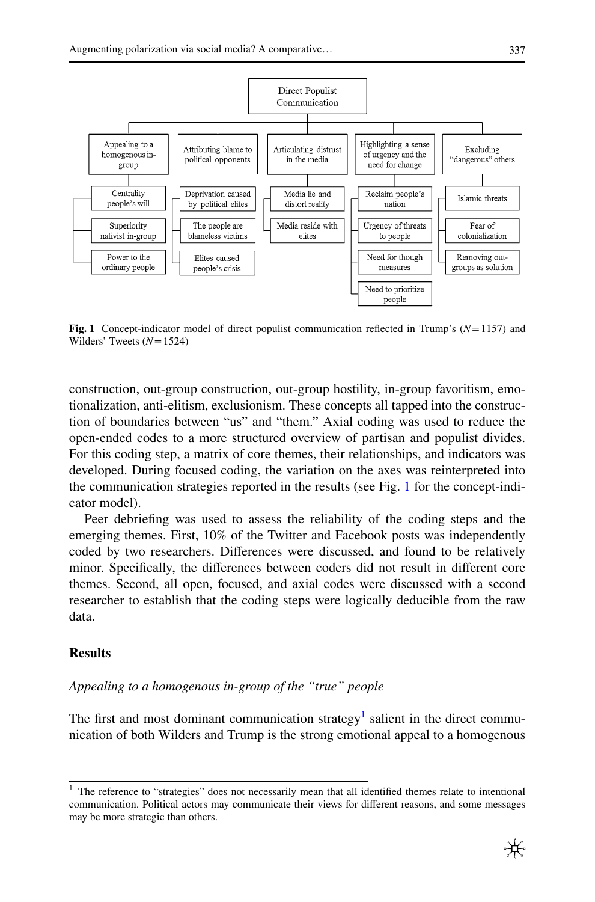

<span id="page-7-0"></span>**Fig. 1** Concept-indicator model of direct populist communication refected in Trump's (*N*=1157) and Wilders' Tweets (*N*=1524)

construction, out-group construction, out-group hostility, in-group favoritism, emotionalization, anti-elitism, exclusionism. These concepts all tapped into the construction of boundaries between "us" and "them." Axial coding was used to reduce the open-ended codes to a more structured overview of partisan and populist divides. For this coding step, a matrix of core themes, their relationships, and indicators was developed. During focused coding, the variation on the axes was reinterpreted into the communication strategies reported in the results (see Fig. [1](#page-7-0) for the concept-indicator model).

Peer debriefng was used to assess the reliability of the coding steps and the emerging themes. First, 10% of the Twitter and Facebook posts was independently coded by two researchers. Diferences were discussed, and found to be relatively minor. Specifcally, the diferences between coders did not result in diferent core themes. Second, all open, focused, and axial codes were discussed with a second researcher to establish that the coding steps were logically deducible from the raw data.

#### **Results**

*Appealing to a homogenous in‑group of the "true" people*

The first and most dominant communication strategy<sup>[1](#page-7-1)</sup> salient in the direct communication of both Wilders and Trump is the strong emotional appeal to a homogenous

<span id="page-7-1"></span><sup>&</sup>lt;sup>1</sup> The reference to "strategies" does not necessarily mean that all identified themes relate to intentional communication. Political actors may communicate their views for diferent reasons, and some messages may be more strategic than others.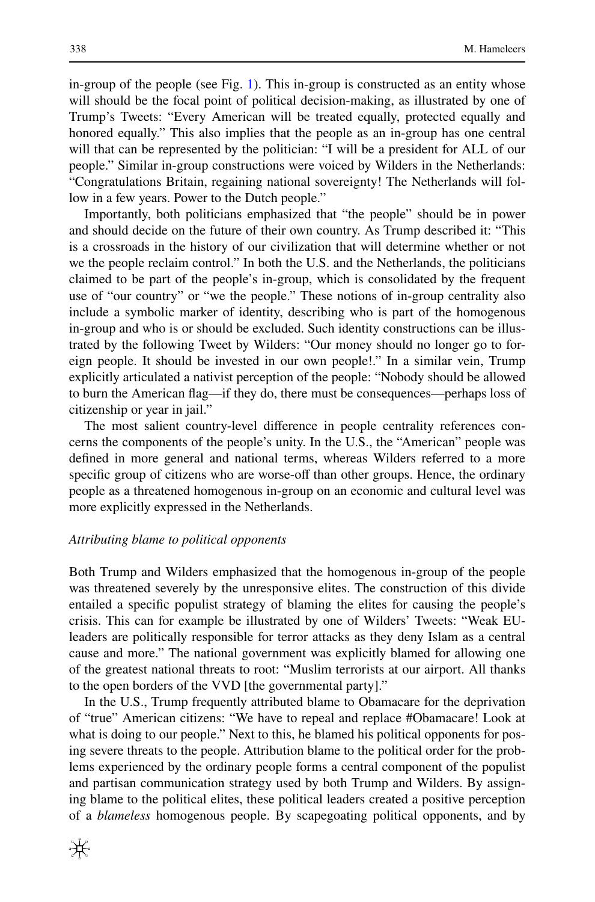in-group of the people (see Fig. [1](#page-7-0)). This in-group is constructed as an entity whose will should be the focal point of political decision-making, as illustrated by one of Trump's Tweets: "Every American will be treated equally, protected equally and honored equally." This also implies that the people as an in-group has one central will that can be represented by the politician: "I will be a president for ALL of our people." Similar in-group constructions were voiced by Wilders in the Netherlands: "Congratulations Britain, regaining national sovereignty! The Netherlands will follow in a few years. Power to the Dutch people."

Importantly, both politicians emphasized that "the people" should be in power and should decide on the future of their own country. As Trump described it: "This is a crossroads in the history of our civilization that will determine whether or not we the people reclaim control." In both the U.S. and the Netherlands, the politicians claimed to be part of the people's in-group, which is consolidated by the frequent use of "our country" or "we the people." These notions of in-group centrality also include a symbolic marker of identity, describing who is part of the homogenous in-group and who is or should be excluded. Such identity constructions can be illustrated by the following Tweet by Wilders: "Our money should no longer go to foreign people. It should be invested in our own people!." In a similar vein, Trump explicitly articulated a nativist perception of the people: "Nobody should be allowed to burn the American fag—if they do, there must be consequences—perhaps loss of citizenship or year in jail."

The most salient country-level diference in people centrality references concerns the components of the people's unity. In the U.S., the "American" people was defned in more general and national terms, whereas Wilders referred to a more specific group of citizens who are worse-off than other groups. Hence, the ordinary people as a threatened homogenous in-group on an economic and cultural level was more explicitly expressed in the Netherlands.

#### *Attributing blame to political opponents*

Both Trump and Wilders emphasized that the homogenous in-group of the people was threatened severely by the unresponsive elites. The construction of this divide entailed a specifc populist strategy of blaming the elites for causing the people's crisis. This can for example be illustrated by one of Wilders' Tweets: "Weak EUleaders are politically responsible for terror attacks as they deny Islam as a central cause and more." The national government was explicitly blamed for allowing one of the greatest national threats to root: "Muslim terrorists at our airport. All thanks to the open borders of the VVD [the governmental party]."

In the U.S., Trump frequently attributed blame to Obamacare for the deprivation of "true" American citizens: "We have to repeal and replace #Obamacare! Look at what is doing to our people." Next to this, he blamed his political opponents for posing severe threats to the people. Attribution blame to the political order for the problems experienced by the ordinary people forms a central component of the populist and partisan communication strategy used by both Trump and Wilders. By assigning blame to the political elites, these political leaders created a positive perception of a *blameless* homogenous people. By scapegoating political opponents, and by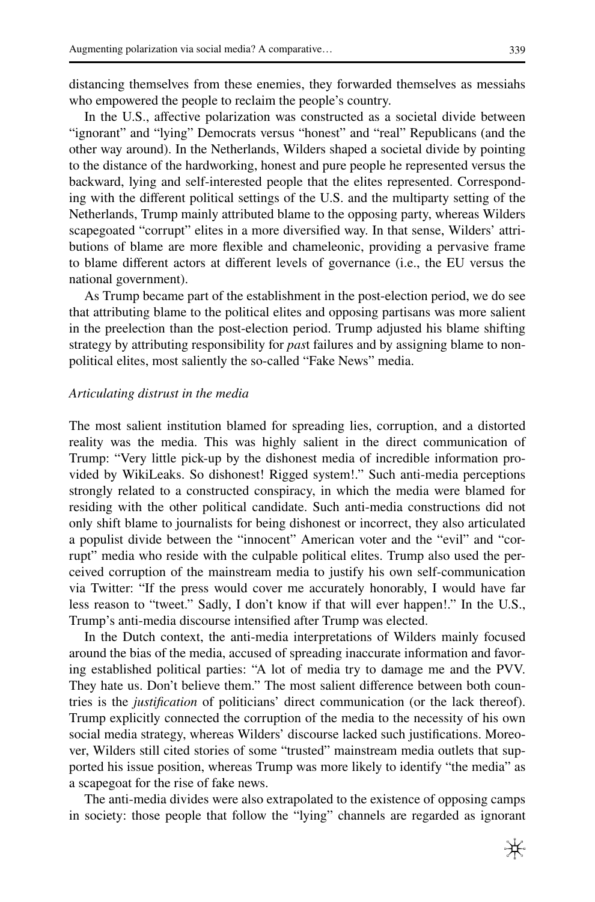distancing themselves from these enemies, they forwarded themselves as messiahs who empowered the people to reclaim the people's country.

In the U.S., afective polarization was constructed as a societal divide between "ignorant" and "lying" Democrats versus "honest" and "real" Republicans (and the other way around). In the Netherlands, Wilders shaped a societal divide by pointing to the distance of the hardworking, honest and pure people he represented versus the backward, lying and self-interested people that the elites represented. Corresponding with the diferent political settings of the U.S. and the multiparty setting of the Netherlands, Trump mainly attributed blame to the opposing party, whereas Wilders scapegoated "corrupt" elites in a more diversifed way. In that sense, Wilders' attributions of blame are more fexible and chameleonic, providing a pervasive frame to blame diferent actors at diferent levels of governance (i.e., the EU versus the national government).

As Trump became part of the establishment in the post-election period, we do see that attributing blame to the political elites and opposing partisans was more salient in the preelection than the post-election period. Trump adjusted his blame shifting strategy by attributing responsibility for *pas*t failures and by assigning blame to nonpolitical elites, most saliently the so-called "Fake News" media.

#### *Articulating distrust in the media*

The most salient institution blamed for spreading lies, corruption, and a distorted reality was the media. This was highly salient in the direct communication of Trump: "Very little pick-up by the dishonest media of incredible information provided by WikiLeaks. So dishonest! Rigged system!." Such anti-media perceptions strongly related to a constructed conspiracy, in which the media were blamed for residing with the other political candidate. Such anti-media constructions did not only shift blame to journalists for being dishonest or incorrect, they also articulated a populist divide between the "innocent" American voter and the "evil" and "corrupt" media who reside with the culpable political elites. Trump also used the perceived corruption of the mainstream media to justify his own self-communication via Twitter: "If the press would cover me accurately honorably, I would have far less reason to "tweet." Sadly, I don't know if that will ever happen!." In the U.S., Trump's anti-media discourse intensifed after Trump was elected.

In the Dutch context, the anti-media interpretations of Wilders mainly focused around the bias of the media, accused of spreading inaccurate information and favoring established political parties: "A lot of media try to damage me and the PVV. They hate us. Don't believe them." The most salient diference between both countries is the *justifcation* of politicians' direct communication (or the lack thereof). Trump explicitly connected the corruption of the media to the necessity of his own social media strategy, whereas Wilders' discourse lacked such justifcations. Moreover, Wilders still cited stories of some "trusted" mainstream media outlets that supported his issue position, whereas Trump was more likely to identify "the media" as a scapegoat for the rise of fake news.

The anti-media divides were also extrapolated to the existence of opposing camps in society: those people that follow the "lying" channels are regarded as ignorant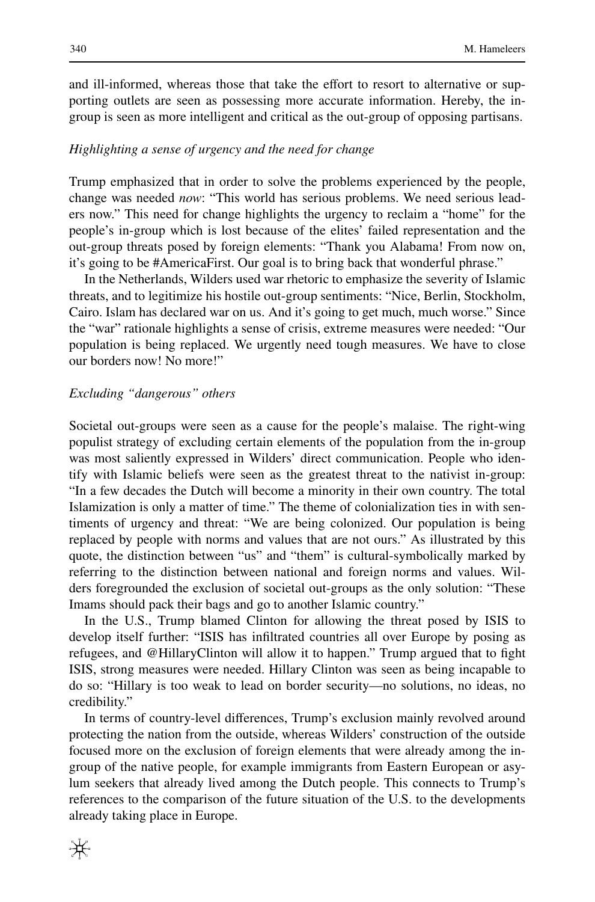and ill-informed, whereas those that take the effort to resort to alternative or supporting outlets are seen as possessing more accurate information. Hereby, the ingroup is seen as more intelligent and critical as the out-group of opposing partisans.

#### *Highlighting a sense of urgency and the need for change*

Trump emphasized that in order to solve the problems experienced by the people, change was needed *now*: "This world has serious problems. We need serious leaders now." This need for change highlights the urgency to reclaim a "home" for the people's in-group which is lost because of the elites' failed representation and the out-group threats posed by foreign elements: "Thank you Alabama! From now on, it's going to be #AmericaFirst. Our goal is to bring back that wonderful phrase."

In the Netherlands, Wilders used war rhetoric to emphasize the severity of Islamic threats, and to legitimize his hostile out-group sentiments: "Nice, Berlin, Stockholm, Cairo. Islam has declared war on us. And it's going to get much, much worse." Since the "war" rationale highlights a sense of crisis, extreme measures were needed: "Our population is being replaced. We urgently need tough measures. We have to close our borders now! No more!"

#### *Excluding "dangerous" others*

Societal out-groups were seen as a cause for the people's malaise. The right-wing populist strategy of excluding certain elements of the population from the in-group was most saliently expressed in Wilders' direct communication. People who identify with Islamic beliefs were seen as the greatest threat to the nativist in-group: "In a few decades the Dutch will become a minority in their own country. The total Islamization is only a matter of time." The theme of colonialization ties in with sentiments of urgency and threat: "We are being colonized. Our population is being replaced by people with norms and values that are not ours." As illustrated by this quote, the distinction between "us" and "them" is cultural-symbolically marked by referring to the distinction between national and foreign norms and values. Wilders foregrounded the exclusion of societal out-groups as the only solution: "These Imams should pack their bags and go to another Islamic country."

In the U.S., Trump blamed Clinton for allowing the threat posed by ISIS to develop itself further: "ISIS has infltrated countries all over Europe by posing as refugees, and @HillaryClinton will allow it to happen." Trump argued that to fght ISIS, strong measures were needed. Hillary Clinton was seen as being incapable to do so: "Hillary is too weak to lead on border security—no solutions, no ideas, no credibility."

In terms of country-level diferences, Trump's exclusion mainly revolved around protecting the nation from the outside, whereas Wilders' construction of the outside focused more on the exclusion of foreign elements that were already among the ingroup of the native people, for example immigrants from Eastern European or asylum seekers that already lived among the Dutch people. This connects to Trump's references to the comparison of the future situation of the U.S. to the developments already taking place in Europe.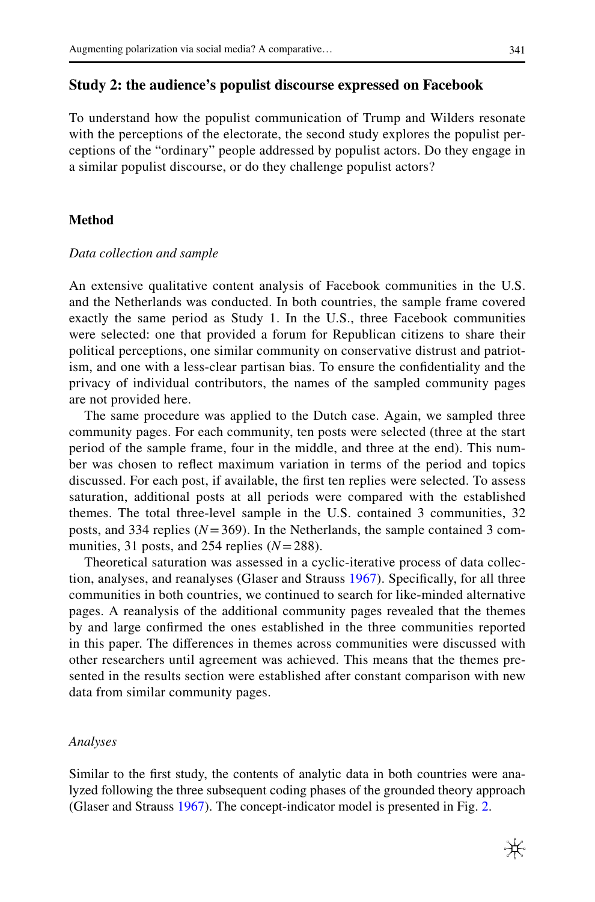#### **Study 2: the audience's populist discourse expressed on Facebook**

To understand how the populist communication of Trump and Wilders resonate with the perceptions of the electorate, the second study explores the populist perceptions of the "ordinary" people addressed by populist actors. Do they engage in a similar populist discourse, or do they challenge populist actors?

#### **Method**

#### *Data collection and sample*

An extensive qualitative content analysis of Facebook communities in the U.S. and the Netherlands was conducted. In both countries, the sample frame covered exactly the same period as Study 1. In the U.S., three Facebook communities were selected: one that provided a forum for Republican citizens to share their political perceptions, one similar community on conservative distrust and patriotism, and one with a less-clear partisan bias. To ensure the confdentiality and the privacy of individual contributors, the names of the sampled community pages are not provided here.

The same procedure was applied to the Dutch case. Again, we sampled three community pages. For each community, ten posts were selected (three at the start period of the sample frame, four in the middle, and three at the end). This number was chosen to refect maximum variation in terms of the period and topics discussed. For each post, if available, the frst ten replies were selected. To assess saturation, additional posts at all periods were compared with the established themes. The total three-level sample in the U.S. contained 3 communities, 32 posts, and 334 replies  $(N=369)$ . In the Netherlands, the sample contained 3 communities, 31 posts, and 254 replies  $(N=288)$ .

Theoretical saturation was assessed in a cyclic-iterative process of data collection, analyses, and reanalyses (Glaser and Strauss [1967](#page-20-19)). Specifcally, for all three communities in both countries, we continued to search for like-minded alternative pages. A reanalysis of the additional community pages revealed that the themes by and large confrmed the ones established in the three communities reported in this paper. The diferences in themes across communities were discussed with other researchers until agreement was achieved. This means that the themes presented in the results section were established after constant comparison with new data from similar community pages.

#### *Analyses*

Similar to the frst study, the contents of analytic data in both countries were analyzed following the three subsequent coding phases of the grounded theory approach (Glaser and Strauss [1967](#page-20-19)). The concept-indicator model is presented in Fig. [2](#page-12-0).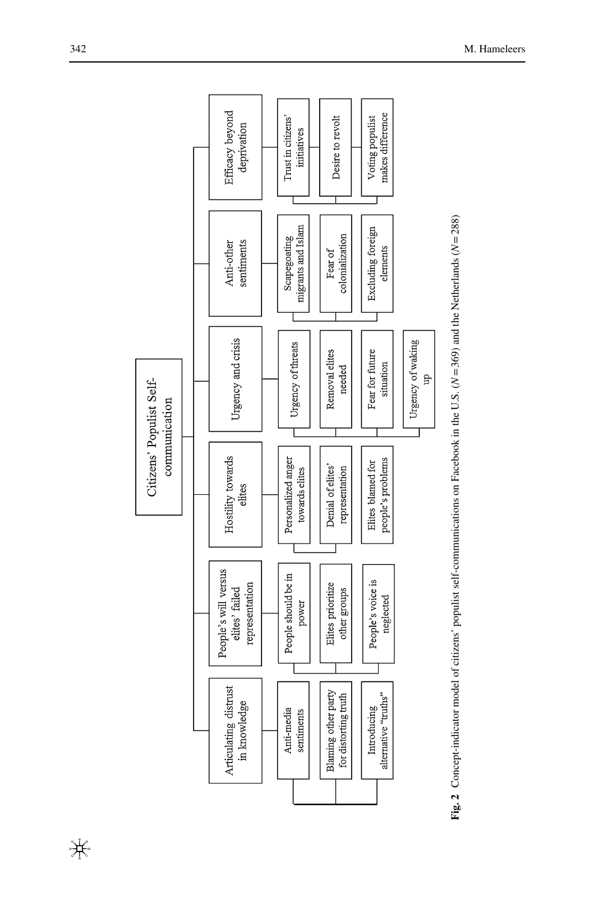

Fig. 2 Concept-indicator model of citizens' populist self-communications on Facebook in the U.S. ( $N=369$ ) and the Netherlands ( $N=288$ ) **Fig. 2** Concept-indicator model of citizens' populist self-communications on Facebook in the U.S. (*N*=369) and the Netherlands (*N*=288)

<span id="page-12-0"></span>米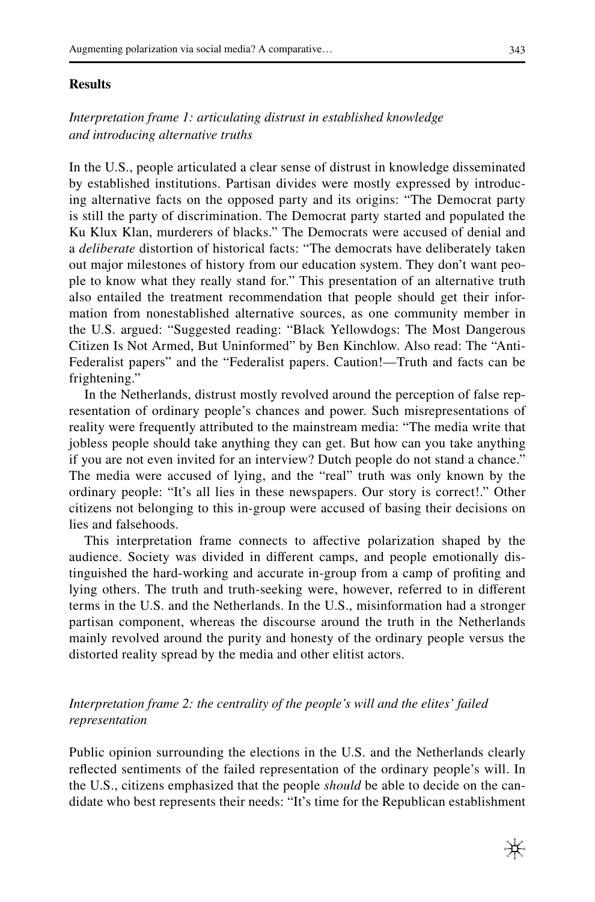#### **Results**

*Interpretation frame 1: articulating distrust in established knowledge and introducing alternative truths*

In the U.S., people articulated a clear sense of distrust in knowledge disseminated by established institutions. Partisan divides were mostly expressed by introducing alternative facts on the opposed party and its origins: "The Democrat party is still the party of discrimination. The Democrat party started and populated the Ku Klux Klan, murderers of blacks." The Democrats were accused of denial and a *deliberate* distortion of historical facts: "The democrats have deliberately taken out major milestones of history from our education system. They don't want people to know what they really stand for." This presentation of an alternative truth also entailed the treatment recommendation that people should get their information from nonestablished alternative sources, as one community member in the U.S. argued: "Suggested reading: "Black Yellowdogs: The Most Dangerous Citizen Is Not Armed, But Uninformed" by Ben Kinchlow. Also read: The "Anti-Federalist papers" and the "Federalist papers. Caution!—Truth and facts can be frightening."

In the Netherlands, distrust mostly revolved around the perception of false representation of ordinary people's chances and power. Such misrepresentations of reality were frequently attributed to the mainstream media: "The media write that jobless people should take anything they can get. But how can you take anything if you are not even invited for an interview? Dutch people do not stand a chance." The media were accused of lying, and the "real" truth was only known by the ordinary people: "It's all lies in these newspapers. Our story is correct!." Other citizens not belonging to this in-group were accused of basing their decisions on lies and falsehoods.

This interpretation frame connects to afective polarization shaped by the audience. Society was divided in diferent camps, and people emotionally distinguished the hard-working and accurate in-group from a camp of profting and lying others. The truth and truth-seeking were, however, referred to in diferent terms in the U.S. and the Netherlands. In the U.S., misinformation had a stronger partisan component, whereas the discourse around the truth in the Netherlands mainly revolved around the purity and honesty of the ordinary people versus the distorted reality spread by the media and other elitist actors.

### *Interpretation frame 2: the centrality of the people's will and the elites' failed representation*

Public opinion surrounding the elections in the U.S. and the Netherlands clearly refected sentiments of the failed representation of the ordinary people's will. In the U.S., citizens emphasized that the people *should* be able to decide on the candidate who best represents their needs: "It's time for the Republican establishment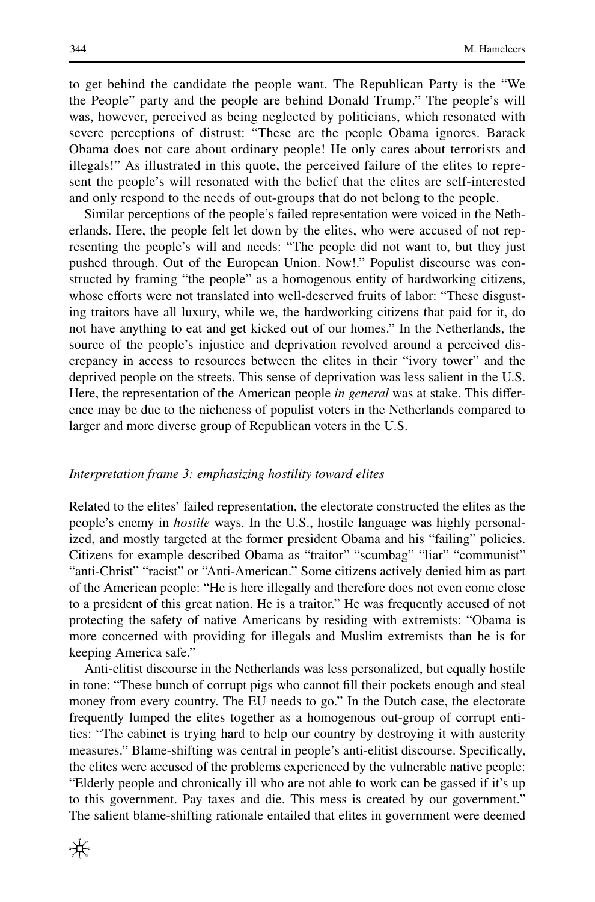to get behind the candidate the people want. The Republican Party is the "We the People" party and the people are behind Donald Trump." The people's will was, however, perceived as being neglected by politicians, which resonated with severe perceptions of distrust: "These are the people Obama ignores. Barack Obama does not care about ordinary people! He only cares about terrorists and illegals!" As illustrated in this quote, the perceived failure of the elites to represent the people's will resonated with the belief that the elites are self-interested and only respond to the needs of out-groups that do not belong to the people.

Similar perceptions of the people's failed representation were voiced in the Netherlands. Here, the people felt let down by the elites, who were accused of not representing the people's will and needs: "The people did not want to, but they just pushed through. Out of the European Union. Now!." Populist discourse was constructed by framing "the people" as a homogenous entity of hardworking citizens, whose efforts were not translated into well-deserved fruits of labor: "These disgusting traitors have all luxury, while we, the hardworking citizens that paid for it, do not have anything to eat and get kicked out of our homes." In the Netherlands, the source of the people's injustice and deprivation revolved around a perceived discrepancy in access to resources between the elites in their "ivory tower" and the deprived people on the streets. This sense of deprivation was less salient in the U.S. Here, the representation of the American people *in general* was at stake. This diference may be due to the nicheness of populist voters in the Netherlands compared to larger and more diverse group of Republican voters in the U.S.

#### *Interpretation frame 3: emphasizing hostility toward elites*

Related to the elites' failed representation, the electorate constructed the elites as the people's enemy in *hostile* ways. In the U.S., hostile language was highly personalized, and mostly targeted at the former president Obama and his "failing" policies. Citizens for example described Obama as "traitor" "scumbag" "liar" "communist" "anti-Christ" "racist" or "Anti-American." Some citizens actively denied him as part of the American people: "He is here illegally and therefore does not even come close to a president of this great nation. He is a traitor." He was frequently accused of not protecting the safety of native Americans by residing with extremists: "Obama is more concerned with providing for illegals and Muslim extremists than he is for keeping America safe."

Anti-elitist discourse in the Netherlands was less personalized, but equally hostile in tone: "These bunch of corrupt pigs who cannot fll their pockets enough and steal money from every country. The EU needs to go." In the Dutch case, the electorate frequently lumped the elites together as a homogenous out-group of corrupt entities: "The cabinet is trying hard to help our country by destroying it with austerity measures." Blame-shifting was central in people's anti-elitist discourse. Specifcally, the elites were accused of the problems experienced by the vulnerable native people: "Elderly people and chronically ill who are not able to work can be gassed if it's up to this government. Pay taxes and die. This mess is created by our government." The salient blame-shifting rationale entailed that elites in government were deemed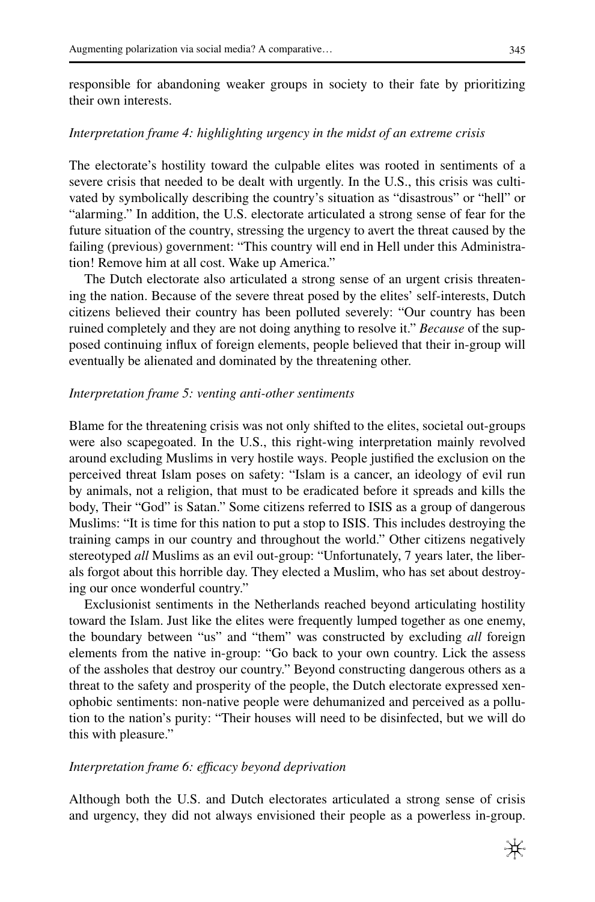responsible for abandoning weaker groups in society to their fate by prioritizing their own interests.

#### *Interpretation frame 4: highlighting urgency in the midst of an extreme crisis*

The electorate's hostility toward the culpable elites was rooted in sentiments of a severe crisis that needed to be dealt with urgently. In the U.S., this crisis was cultivated by symbolically describing the country's situation as "disastrous" or "hell" or "alarming." In addition, the U.S. electorate articulated a strong sense of fear for the future situation of the country, stressing the urgency to avert the threat caused by the failing (previous) government: "This country will end in Hell under this Administration! Remove him at all cost. Wake up America."

The Dutch electorate also articulated a strong sense of an urgent crisis threatening the nation. Because of the severe threat posed by the elites' self-interests, Dutch citizens believed their country has been polluted severely: "Our country has been ruined completely and they are not doing anything to resolve it." *Because* of the supposed continuing infux of foreign elements, people believed that their in-group will eventually be alienated and dominated by the threatening other.

#### *Interpretation frame 5: venting anti‑other sentiments*

Blame for the threatening crisis was not only shifted to the elites, societal out-groups were also scapegoated. In the U.S., this right-wing interpretation mainly revolved around excluding Muslims in very hostile ways. People justifed the exclusion on the perceived threat Islam poses on safety: "Islam is a cancer, an ideology of evil run by animals, not a religion, that must to be eradicated before it spreads and kills the body, Their "God" is Satan." Some citizens referred to ISIS as a group of dangerous Muslims: "It is time for this nation to put a stop to ISIS. This includes destroying the training camps in our country and throughout the world." Other citizens negatively stereotyped *all* Muslims as an evil out-group: "Unfortunately, 7 years later, the liberals forgot about this horrible day. They elected a Muslim, who has set about destroying our once wonderful country."

Exclusionist sentiments in the Netherlands reached beyond articulating hostility toward the Islam. Just like the elites were frequently lumped together as one enemy, the boundary between "us" and "them" was constructed by excluding *all* foreign elements from the native in-group: "Go back to your own country. Lick the assess of the assholes that destroy our country." Beyond constructing dangerous others as a threat to the safety and prosperity of the people, the Dutch electorate expressed xenophobic sentiments: non-native people were dehumanized and perceived as a pollution to the nation's purity: "Their houses will need to be disinfected, but we will do this with pleasure."

#### *Interpretation frame 6: efficacy beyond deprivation*

Although both the U.S. and Dutch electorates articulated a strong sense of crisis and urgency, they did not always envisioned their people as a powerless in-group.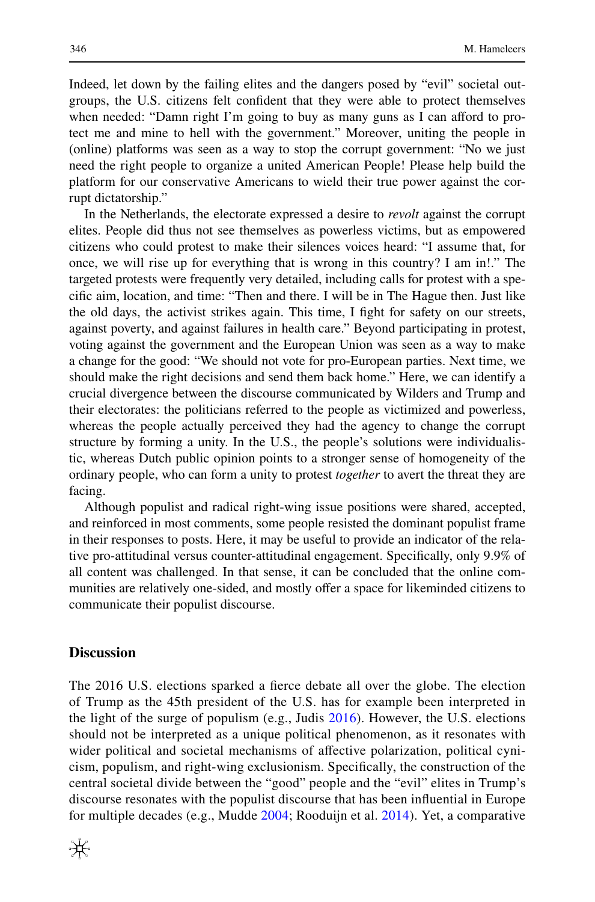Indeed, let down by the failing elites and the dangers posed by "evil" societal outgroups, the U.S. citizens felt confdent that they were able to protect themselves when needed: "Damn right I'm going to buy as many guns as I can afford to protect me and mine to hell with the government." Moreover, uniting the people in (online) platforms was seen as a way to stop the corrupt government: "No we just need the right people to organize a united American People! Please help build the platform for our conservative Americans to wield their true power against the corrupt dictatorship."

In the Netherlands, the electorate expressed a desire to *revolt* against the corrupt elites. People did thus not see themselves as powerless victims, but as empowered citizens who could protest to make their silences voices heard: "I assume that, for once, we will rise up for everything that is wrong in this country? I am in!." The targeted protests were frequently very detailed, including calls for protest with a specifc aim, location, and time: "Then and there. I will be in The Hague then. Just like the old days, the activist strikes again. This time, I fght for safety on our streets, against poverty, and against failures in health care." Beyond participating in protest, voting against the government and the European Union was seen as a way to make a change for the good: "We should not vote for pro-European parties. Next time, we should make the right decisions and send them back home." Here, we can identify a crucial divergence between the discourse communicated by Wilders and Trump and their electorates: the politicians referred to the people as victimized and powerless, whereas the people actually perceived they had the agency to change the corrupt structure by forming a unity. In the U.S., the people's solutions were individualistic, whereas Dutch public opinion points to a stronger sense of homogeneity of the ordinary people, who can form a unity to protest *together* to avert the threat they are facing.

Although populist and radical right-wing issue positions were shared, accepted, and reinforced in most comments, some people resisted the dominant populist frame in their responses to posts. Here, it may be useful to provide an indicator of the relative pro-attitudinal versus counter-attitudinal engagement. Specifcally, only 9.9% of all content was challenged. In that sense, it can be concluded that the online communities are relatively one-sided, and mostly offer a space for likeminded citizens to communicate their populist discourse.

#### **Discussion**

₩

The 2016 U.S. elections sparked a ferce debate all over the globe. The election of Trump as the 45th president of the U.S. has for example been interpreted in the light of the surge of populism (e.g., Judis [2016](#page-20-1)). However, the U.S. elections should not be interpreted as a unique political phenomenon, as it resonates with wider political and societal mechanisms of afective polarization, political cynicism, populism, and right-wing exclusionism. Specifcally, the construction of the central societal divide between the "good" people and the "evil" elites in Trump's discourse resonates with the populist discourse that has been infuential in Europe for multiple decades (e.g., Mudde [2004](#page-20-20); Rooduijn et al. [2014\)](#page-20-2). Yet, a comparative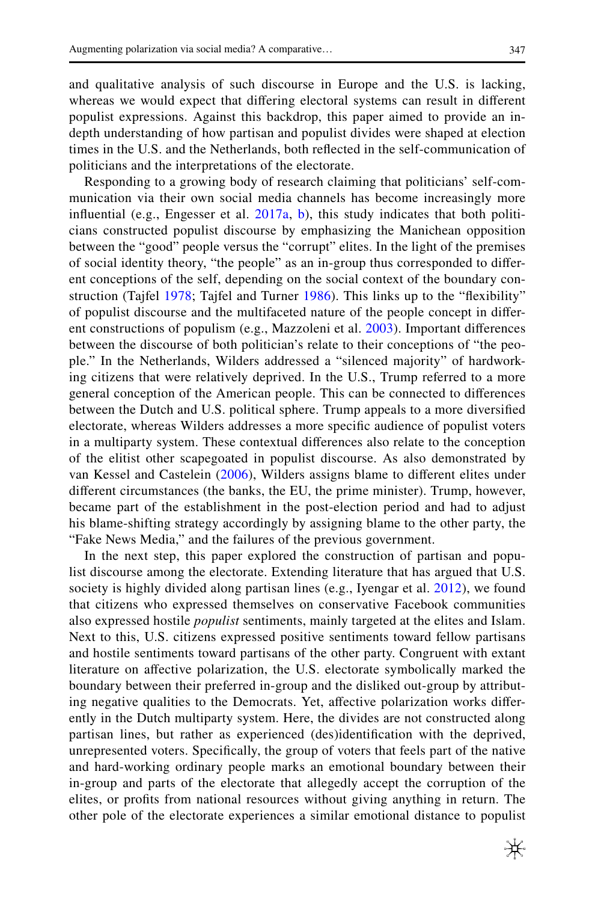and qualitative analysis of such discourse in Europe and the U.S. is lacking, whereas we would expect that difering electoral systems can result in diferent populist expressions. Against this backdrop, this paper aimed to provide an indepth understanding of how partisan and populist divides were shaped at election times in the U.S. and the Netherlands, both refected in the self-communication of politicians and the interpretations of the electorate.

Responding to a growing body of research claiming that politicians' self-communication via their own social media channels has become increasingly more influential (e.g., Engesser et al.  $2017a$ , [b](#page-20-4)), this study indicates that both politicians constructed populist discourse by emphasizing the Manichean opposition between the "good" people versus the "corrupt" elites. In the light of the premises of social identity theory, "the people" as an in-group thus corresponded to diferent conceptions of the self, depending on the social context of the boundary con-struction (Tajfel [1978;](#page-20-13) Tajfel and Turner [1986\)](#page-20-14). This links up to the "flexibility" of populist discourse and the multifaceted nature of the people concept in diferent constructions of populism (e.g., Mazzoleni et al. [2003\)](#page-20-21). Important diferences between the discourse of both politician's relate to their conceptions of "the people." In the Netherlands, Wilders addressed a "silenced majority" of hardworking citizens that were relatively deprived. In the U.S., Trump referred to a more general conception of the American people. This can be connected to diferences between the Dutch and U.S. political sphere. Trump appeals to a more diversifed electorate, whereas Wilders addresses a more specifc audience of populist voters in a multiparty system. These contextual diferences also relate to the conception of the elitist other scapegoated in populist discourse. As also demonstrated by van Kessel and Castelein ([2006](#page-20-6)), Wilders assigns blame to diferent elites under diferent circumstances (the banks, the EU, the prime minister). Trump, however, became part of the establishment in the post-election period and had to adjust his blame-shifting strategy accordingly by assigning blame to the other party, the "Fake News Media," and the failures of the previous government.

In the next step, this paper explored the construction of partisan and populist discourse among the electorate. Extending literature that has argued that U.S. society is highly divided along partisan lines (e.g., Iyengar et al. [2012](#page-20-11)), we found that citizens who expressed themselves on conservative Facebook communities also expressed hostile *populist* sentiments, mainly targeted at the elites and Islam. Next to this, U.S. citizens expressed positive sentiments toward fellow partisans and hostile sentiments toward partisans of the other party. Congruent with extant literature on afective polarization, the U.S. electorate symbolically marked the boundary between their preferred in-group and the disliked out-group by attributing negative qualities to the Democrats. Yet, afective polarization works diferently in the Dutch multiparty system. Here, the divides are not constructed along partisan lines, but rather as experienced (des)identifcation with the deprived, unrepresented voters. Specifcally, the group of voters that feels part of the native and hard-working ordinary people marks an emotional boundary between their in-group and parts of the electorate that allegedly accept the corruption of the elites, or profts from national resources without giving anything in return. The other pole of the electorate experiences a similar emotional distance to populist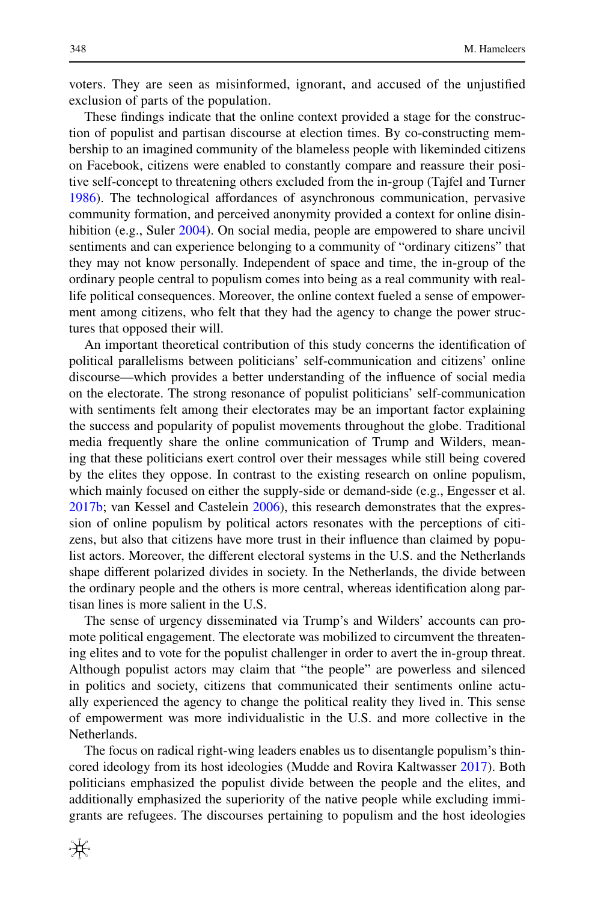voters. They are seen as misinformed, ignorant, and accused of the unjustifed exclusion of parts of the population.

These fndings indicate that the online context provided a stage for the construction of populist and partisan discourse at election times. By co-constructing membership to an imagined community of the blameless people with likeminded citizens on Facebook, citizens were enabled to constantly compare and reassure their positive self-concept to threatening others excluded from the in-group (Tajfel and Turner [1986](#page-20-14)). The technological afordances of asynchronous communication, pervasive community formation, and perceived anonymity provided a context for online disin-hibition (e.g., Suler [2004](#page-20-18)). On social media, people are empowered to share uncivil sentiments and can experience belonging to a community of "ordinary citizens" that they may not know personally. Independent of space and time, the in-group of the ordinary people central to populism comes into being as a real community with reallife political consequences. Moreover, the online context fueled a sense of empowerment among citizens, who felt that they had the agency to change the power structures that opposed their will.

An important theoretical contribution of this study concerns the identifcation of political parallelisms between politicians' self-communication and citizens' online discourse—which provides a better understanding of the infuence of social media on the electorate. The strong resonance of populist politicians' self-communication with sentiments felt among their electorates may be an important factor explaining the success and popularity of populist movements throughout the globe. Traditional media frequently share the online communication of Trump and Wilders, meaning that these politicians exert control over their messages while still being covered by the elites they oppose. In contrast to the existing research on online populism, which mainly focused on either the supply-side or demand-side (e.g., Engesser et al. [2017b](#page-20-4); van Kessel and Castelein [2006\)](#page-20-6), this research demonstrates that the expression of online populism by political actors resonates with the perceptions of citizens, but also that citizens have more trust in their infuence than claimed by populist actors. Moreover, the diferent electoral systems in the U.S. and the Netherlands shape diferent polarized divides in society. In the Netherlands, the divide between the ordinary people and the others is more central, whereas identifcation along partisan lines is more salient in the U.S.

The sense of urgency disseminated via Trump's and Wilders' accounts can promote political engagement. The electorate was mobilized to circumvent the threatening elites and to vote for the populist challenger in order to avert the in-group threat. Although populist actors may claim that "the people" are powerless and silenced in politics and society, citizens that communicated their sentiments online actually experienced the agency to change the political reality they lived in. This sense of empowerment was more individualistic in the U.S. and more collective in the Netherlands.

The focus on radical right-wing leaders enables us to disentangle populism's thincored ideology from its host ideologies (Mudde and Rovira Kaltwasser [2017](#page-20-9)). Both politicians emphasized the populist divide between the people and the elites, and additionally emphasized the superiority of the native people while excluding immigrants are refugees. The discourses pertaining to populism and the host ideologies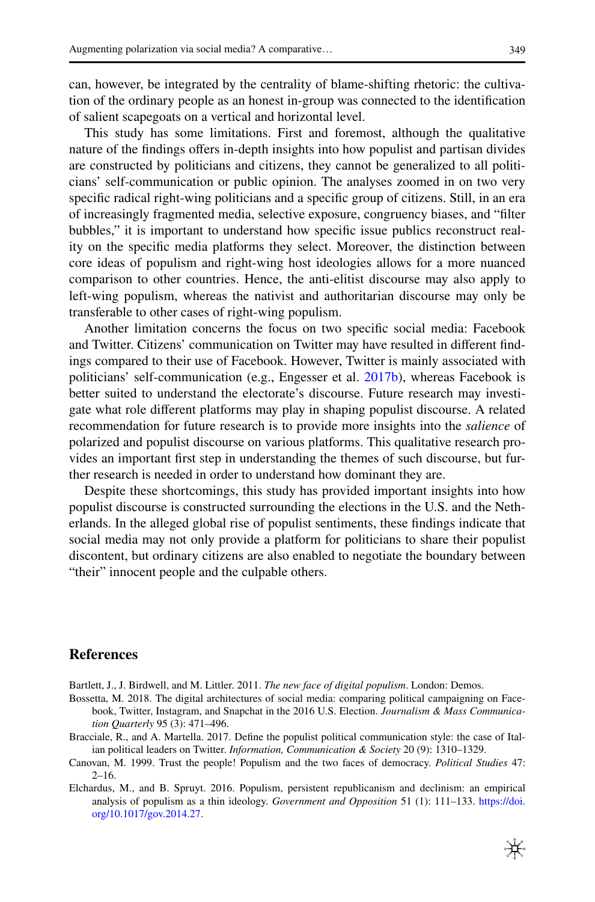can, however, be integrated by the centrality of blame-shifting rhetoric: the cultivation of the ordinary people as an honest in-group was connected to the identifcation of salient scapegoats on a vertical and horizontal level.

This study has some limitations. First and foremost, although the qualitative nature of the findings offers in-depth insights into how populist and partisan divides are constructed by politicians and citizens, they cannot be generalized to all politicians' self-communication or public opinion. The analyses zoomed in on two very specifc radical right-wing politicians and a specifc group of citizens. Still, in an era of increasingly fragmented media, selective exposure, congruency biases, and "flter bubbles," it is important to understand how specifc issue publics reconstruct reality on the specifc media platforms they select. Moreover, the distinction between core ideas of populism and right-wing host ideologies allows for a more nuanced comparison to other countries. Hence, the anti-elitist discourse may also apply to left-wing populism, whereas the nativist and authoritarian discourse may only be transferable to other cases of right-wing populism.

Another limitation concerns the focus on two specifc social media: Facebook and Twitter. Citizens' communication on Twitter may have resulted in diferent fndings compared to their use of Facebook. However, Twitter is mainly associated with politicians' self-communication (e.g., Engesser et al. [2017b](#page-20-4)), whereas Facebook is better suited to understand the electorate's discourse. Future research may investigate what role diferent platforms may play in shaping populist discourse. A related recommendation for future research is to provide more insights into the *salience* of polarized and populist discourse on various platforms. This qualitative research provides an important frst step in understanding the themes of such discourse, but further research is needed in order to understand how dominant they are.

Despite these shortcomings, this study has provided important insights into how populist discourse is constructed surrounding the elections in the U.S. and the Netherlands. In the alleged global rise of populist sentiments, these fndings indicate that social media may not only provide a platform for politicians to share their populist discontent, but ordinary citizens are also enabled to negotiate the boundary between "their" innocent people and the culpable others.

#### **References**

<span id="page-19-3"></span>Bartlett, J., J. Birdwell, and M. Littler. 2011. *The new face of digital populism*. London: Demos.

- <span id="page-19-4"></span>Bossetta, M. 2018. The digital architectures of social media: comparing political campaigning on Facebook, Twitter, Instagram, and Snapchat in the 2016 U.S. Election. *Journalism & Mass Communica‑ tion Quarterly* 95 (3): 471–496.
- <span id="page-19-0"></span>Bracciale, R., and A. Martella. 2017. Defne the populist political communication style: the case of Italian political leaders on Twitter. *Information, Communication & Society* 20 (9): 1310–1329.
- <span id="page-19-1"></span>Canovan, M. 1999. Trust the people! Populism and the two faces of democracy. *Political Studies* 47:  $2 - 16$ .
- <span id="page-19-2"></span>Elchardus, M., and B. Spruyt. 2016. Populism, persistent republicanism and declinism: an empirical analysis of populism as a thin ideology. *Government and Opposition* 51 (1): 111–133. [https://doi.](https://doi.org/10.1017/gov.2014.27) [org/10.1017/gov.2014.27](https://doi.org/10.1017/gov.2014.27).